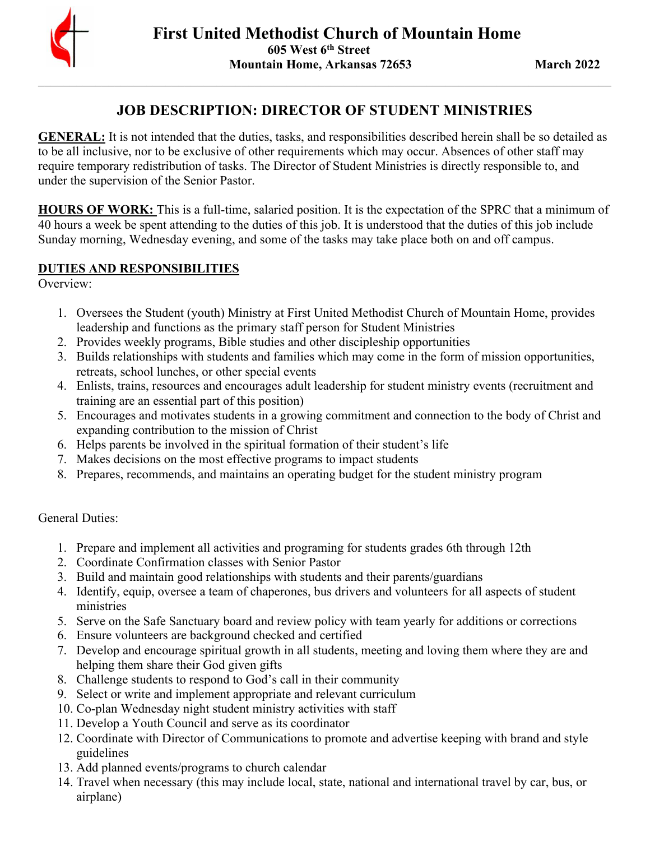

# **JOB DESCRIPTION: DIRECTOR OF STUDENT MINISTRIES**

**GENERAL:** It is not intended that the duties, tasks, and responsibilities described herein shall be so detailed as to be all inclusive, nor to be exclusive of other requirements which may occur. Absences of other staff may require temporary redistribution of tasks. The Director of Student Ministries is directly responsible to, and under the supervision of the Senior Pastor.

**HOURS OF WORK:** This is a full-time, salaried position. It is the expectation of the SPRC that a minimum of 40 hours a week be spent attending to the duties of this job. It is understood that the duties of this job include Sunday morning, Wednesday evening, and some of the tasks may take place both on and off campus.

# **DUTIES AND RESPONSIBILITIES**

Overview:

- 1. Oversees the Student (youth) Ministry at First United Methodist Church of Mountain Home, provides leadership and functions as the primary staff person for Student Ministries
- 2. Provides weekly programs, Bible studies and other discipleship opportunities
- 3. Builds relationships with students and families which may come in the form of mission opportunities, retreats, school lunches, or other special events
- 4. Enlists, trains, resources and encourages adult leadership for student ministry events (recruitment and training are an essential part of this position)
- 5. Encourages and motivates students in a growing commitment and connection to the body of Christ and expanding contribution to the mission of Christ
- 6. Helps parents be involved in the spiritual formation of their student's life
- 7. Makes decisions on the most effective programs to impact students
- 8. Prepares, recommends, and maintains an operating budget for the student ministry program

# General Duties:

- 1. Prepare and implement all activities and programing for students grades 6th through 12th
- 2. Coordinate Confirmation classes with Senior Pastor
- 3. Build and maintain good relationships with students and their parents/guardians
- 4. Identify, equip, oversee a team of chaperones, bus drivers and volunteers for all aspects of student ministries
- 5. Serve on the Safe Sanctuary board and review policy with team yearly for additions or corrections
- 6. Ensure volunteers are background checked and certified
- 7. Develop and encourage spiritual growth in all students, meeting and loving them where they are and helping them share their God given gifts
- 8. Challenge students to respond to God's call in their community
- 9. Select or write and implement appropriate and relevant curriculum
- 10. Co-plan Wednesday night student ministry activities with staff
- 11. Develop a Youth Council and serve as its coordinator
- 12. Coordinate with Director of Communications to promote and advertise keeping with brand and style guidelines
- 13. Add planned events/programs to church calendar
- 14. Travel when necessary (this may include local, state, national and international travel by car, bus, or airplane)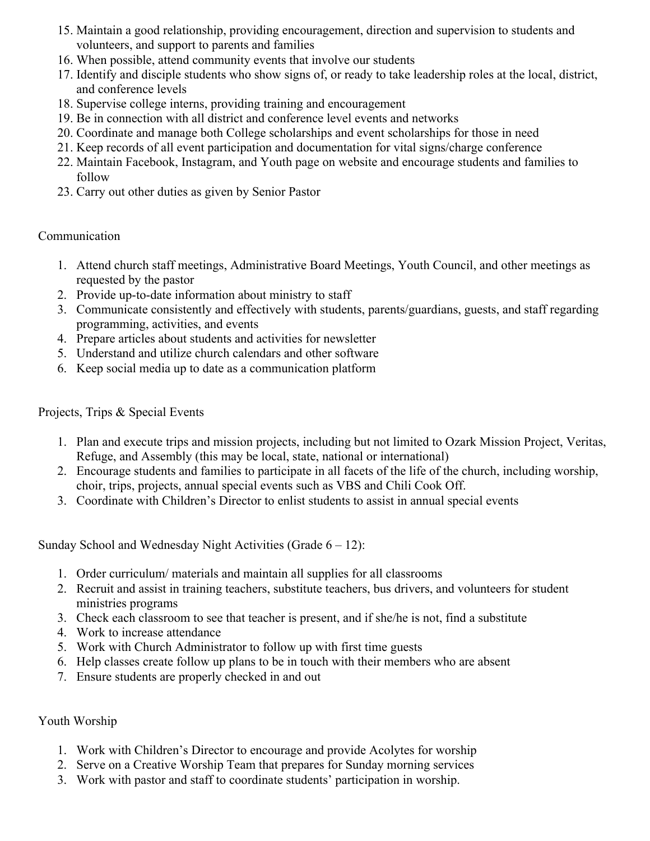- 15. Maintain a good relationship, providing encouragement, direction and supervision to students and volunteers, and support to parents and families
- 16. When possible, attend community events that involve our students
- 17. Identify and disciple students who show signs of, or ready to take leadership roles at the local, district, and conference levels
- 18. Supervise college interns, providing training and encouragement
- 19. Be in connection with all district and conference level events and networks
- 20. Coordinate and manage both College scholarships and event scholarships for those in need
- 21. Keep records of all event participation and documentation for vital signs/charge conference
- 22. Maintain Facebook, Instagram, and Youth page on website and encourage students and families to follow
- 23. Carry out other duties as given by Senior Pastor

### Communication

- 1. Attend church staff meetings, Administrative Board Meetings, Youth Council, and other meetings as requested by the pastor
- 2. Provide up-to-date information about ministry to staff
- 3. Communicate consistently and effectively with students, parents/guardians, guests, and staff regarding programming, activities, and events
- 4. Prepare articles about students and activities for newsletter
- 5. Understand and utilize church calendars and other software
- 6. Keep social media up to date as a communication platform

# Projects, Trips & Special Events

- 1. Plan and execute trips and mission projects, including but not limited to Ozark Mission Project, Veritas, Refuge, and Assembly (this may be local, state, national or international)
- 2. Encourage students and families to participate in all facets of the life of the church, including worship, choir, trips, projects, annual special events such as VBS and Chili Cook Off.
- 3. Coordinate with Children's Director to enlist students to assist in annual special events

Sunday School and Wednesday Night Activities (Grade  $6 - 12$ ):

- 1. Order curriculum/ materials and maintain all supplies for all classrooms
- 2. Recruit and assist in training teachers, substitute teachers, bus drivers, and volunteers for student ministries programs
- 3. Check each classroom to see that teacher is present, and if she/he is not, find a substitute
- 4. Work to increase attendance
- 5. Work with Church Administrator to follow up with first time guests
- 6. Help classes create follow up plans to be in touch with their members who are absent
- 7. Ensure students are properly checked in and out

### Youth Worship

- 1. Work with Children's Director to encourage and provide Acolytes for worship
- 2. Serve on a Creative Worship Team that prepares for Sunday morning services
- 3. Work with pastor and staff to coordinate students' participation in worship.